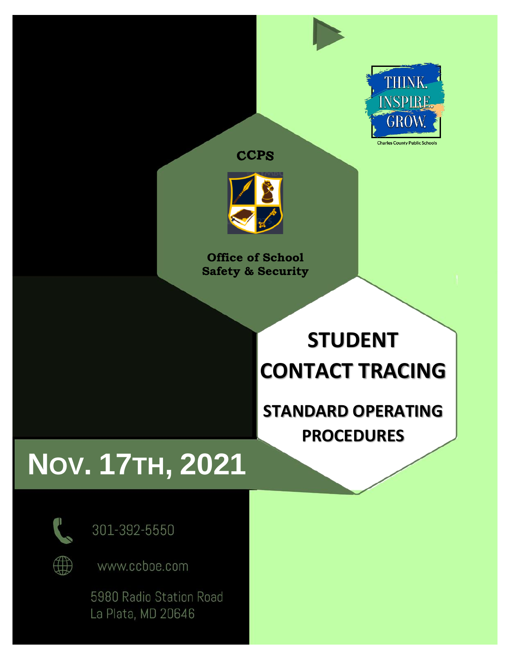

**CCPS** 



**Office of School Safety & Security**

## **STUDENT CONTACT TRACING**

**STANDARD OPERATING PROCEDURES**

# **NOV. 17TH, 2021**



∰

301-392-5550

www.ccboe.com

5980 Radio Station Road La Plata, MD 20646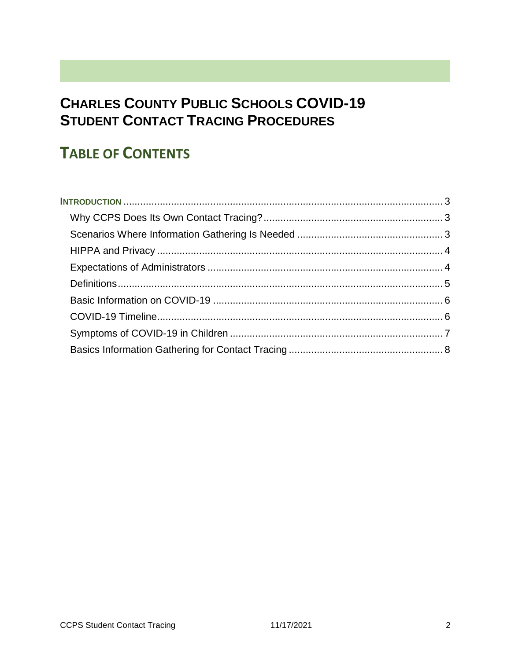## **CHARLES COUNTY PUBLIC SCHOOLS COVID-19 STUDENT CONTACT TRACING PROCEDURES**

## **TABLE OF CONTENTS**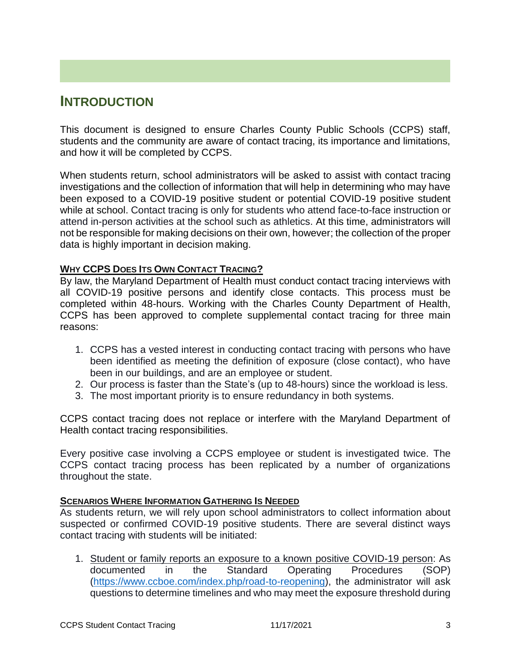### <span id="page-2-0"></span>**INTRODUCTION**

This document is designed to ensure Charles County Public Schools (CCPS) staff, students and the community are aware of contact tracing, its importance and limitations, and how it will be completed by CCPS.

When students return, school administrators will be asked to assist with contact tracing investigations and the collection of information that will help in determining who may have been exposed to a COVID-19 positive student or potential COVID-19 positive student while at school. Contact tracing is only for students who attend face-to-face instruction or attend in-person activities at the school such as athletics. At this time, administrators will not be responsible for making decisions on their own, however; the collection of the proper data is highly important in decision making.

#### <span id="page-2-1"></span>**WHY CCPS DOES ITS OWN CONTACT TRACING?**

By law, the Maryland Department of Health must conduct contact tracing interviews with all COVID-19 positive persons and identify close contacts. This process must be completed within 48-hours. Working with the Charles County Department of Health, CCPS has been approved to complete supplemental contact tracing for three main reasons:

- 1. CCPS has a vested interest in conducting contact tracing with persons who have been identified as meeting the definition of exposure (close contact), who have been in our buildings, and are an employee or student.
- 2. Our process is faster than the State's (up to 48-hours) since the workload is less.
- 3. The most important priority is to ensure redundancy in both systems.

CCPS contact tracing does not replace or interfere with the Maryland Department of Health contact tracing responsibilities.

Every positive case involving a CCPS employee or student is investigated twice. The CCPS contact tracing process has been replicated by a number of organizations throughout the state.

#### <span id="page-2-2"></span>**SCENARIOS WHERE INFORMATION GATHERING IS NEEDED**

As students return, we will rely upon school administrators to collect information about suspected or confirmed COVID-19 positive students. There are several distinct ways contact tracing with students will be initiated:

1. Student or family reports an exposure to a known positive COVID-19 person: As documented in the Standard Operating Procedures (SOP) [\(https://www.ccboe.com/index.php/road-to-reopening\)](https://www.ccboe.com/index.php/road-to-reopening), the administrator will ask questions to determine timelines and who may meet the exposure threshold during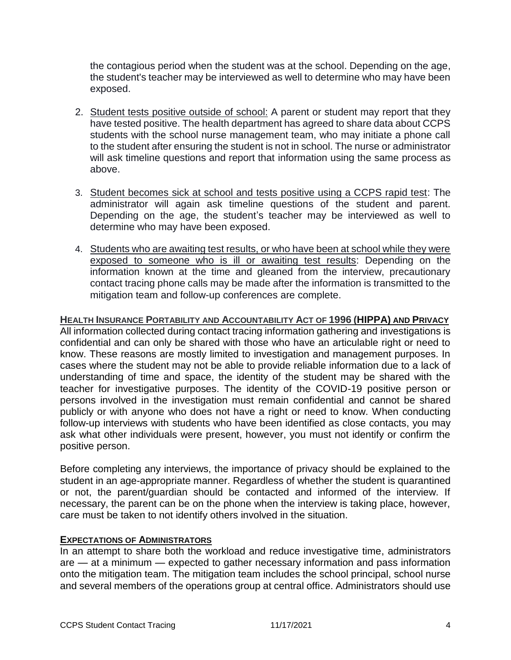the contagious period when the student was at the school. Depending on the age, the student's teacher may be interviewed as well to determine who may have been exposed.

- 2. Student tests positive outside of school: A parent or student may report that they have tested positive. The health department has agreed to share data about CCPS students with the school nurse management team, who may initiate a phone call to the student after ensuring the student is not in school. The nurse or administrator will ask timeline questions and report that information using the same process as above.
- 3. Student becomes sick at school and tests positive using a CCPS rapid test: The administrator will again ask timeline questions of the student and parent. Depending on the age, the student's teacher may be interviewed as well to determine who may have been exposed.
- 4. Students who are awaiting test results, or who have been at school while they were exposed to someone who is ill or awaiting test results: Depending on the information known at the time and gleaned from the interview, precautionary contact tracing phone calls may be made after the information is transmitted to the mitigation team and follow-up conferences are complete.

<span id="page-3-0"></span>**HEALTH INSURANCE PORTABILITY AND ACCOUNTABILITY ACT OF 1996 (HIPPA) AND PRIVACY** All information collected during contact tracing information gathering and investigations is confidential and can only be shared with those who have an articulable right or need to know. These reasons are mostly limited to investigation and management purposes. In cases where the student may not be able to provide reliable information due to a lack of understanding of time and space, the identity of the student may be shared with the teacher for investigative purposes. The identity of the COVID-19 positive person or persons involved in the investigation must remain confidential and cannot be shared publicly or with anyone who does not have a right or need to know. When conducting follow-up interviews with students who have been identified as close contacts, you may ask what other individuals were present, however, you must not identify or confirm the positive person.

Before completing any interviews, the importance of privacy should be explained to the student in an age-appropriate manner. Regardless of whether the student is quarantined or not, the parent/guardian should be contacted and informed of the interview. If necessary, the parent can be on the phone when the interview is taking place, however, care must be taken to not identify others involved in the situation.

#### <span id="page-3-1"></span>**EXPECTATIONS OF ADMINISTRATORS**

In an attempt to share both the workload and reduce investigative time, administrators are — at a minimum — expected to gather necessary information and pass information onto the mitigation team. The mitigation team includes the school principal, school nurse and several members of the operations group at central office. Administrators should use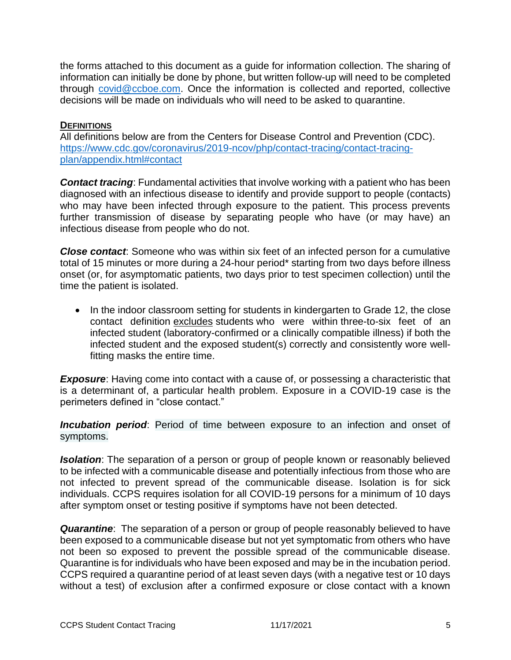the forms attached to this document as a guide for information collection. The sharing of information can initially be done by phone, but written follow-up will need to be completed through [covid@ccboe.com.](mailto:covid@ccboe.com) Once the information is collected and reported, collective decisions will be made on individuals who will need to be asked to quarantine.

#### <span id="page-4-0"></span>**DEFINITIONS**

All definitions below are from the Centers for Disease Control and Prevention (CDC). [https://www.cdc.gov/coronavirus/2019-ncov/php/contact-tracing/contact-tracing](https://www.cdc.gov/coronavirus/2019-ncov/php/contact-tracing/contact-tracing-plan/appendix.html#contact)[plan/appendix.html#contact](https://www.cdc.gov/coronavirus/2019-ncov/php/contact-tracing/contact-tracing-plan/appendix.html#contact)

*Contact tracing*: Fundamental activities that involve working with a patient who has been diagnosed with an infectious disease to identify and provide support to people (contacts) who may have been infected through exposure to the patient. This process prevents further transmission of disease by separating people who have (or may have) an infectious disease from people who do not.

*Close contact*: Someone who was within six feet of an infected person for a cumulative total of 15 minutes or more during a 24-hour period\* starting from two days before illness onset (or, for asymptomatic patients, two days prior to test specimen collection) until the time the patient is isolated.

• In the indoor classroom setting for students in kindergarten to Grade 12, the close contact definition excludes students who were within three-to-six feet of an infected student (laboratory-confirmed or a clinically compatible illness) if both the infected student and the exposed student(s) correctly and consistently wore wellfitting masks the entire time.

**Exposure:** Having come into contact with a cause of, or possessing a characteristic that is a determinant of, a particular health problem. Exposure in a COVID-19 case is the perimeters defined in "close contact."

**Incubation period**: Period of time between exposure to an infection and onset of symptoms.

**Isolation**: The separation of a person or group of people known or reasonably believed to be infected with a communicable disease and potentially infectious from those who are not infected to prevent spread of the communicable disease. Isolation is for sick individuals. CCPS requires isolation for all COVID-19 persons for a minimum of 10 days after symptom onset or testing positive if symptoms have not been detected.

*Quarantine*: The separation of a person or group of people reasonably believed to have been exposed to a communicable disease but not yet symptomatic from others who have not been so exposed to prevent the possible spread of the communicable disease. Quarantine is for individuals who have been exposed and may be in the incubation period. CCPS required a quarantine period of at least seven days (with a negative test or 10 days without a test) of exclusion after a confirmed exposure or close contact with a known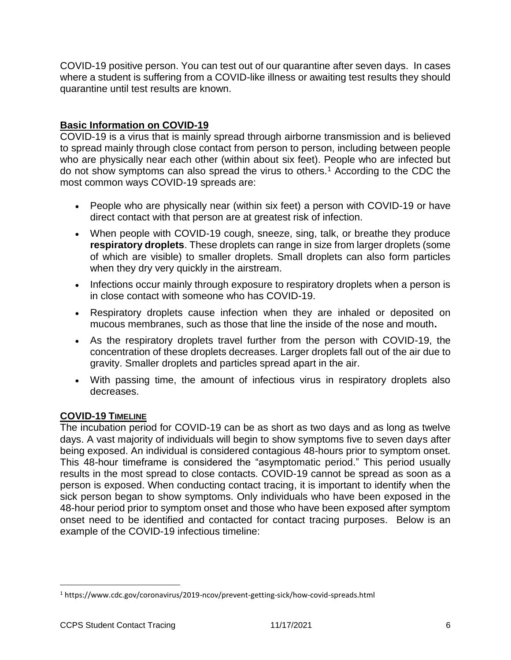COVID-19 positive person. You can test out of our quarantine after seven days. In cases where a student is suffering from a COVID-like illness or awaiting test results they should quarantine until test results are known.

#### <span id="page-5-0"></span>**Basic Information on COVID-19**

COVID-19 is a virus that is mainly spread through airborne transmission and is believed to spread mainly through close contact from person to person, including between people who are physically near each other (within about six feet). People who are infected but do not show symptoms can also spread the virus to others.<sup>1</sup> According to the CDC the most common ways COVID-19 spreads are:

- People who are physically near (within six feet) a person with COVID-19 or have direct contact with that person are at greatest risk of infection.
- When people with COVID-19 cough, sneeze, sing, talk, or breathe they produce **respiratory droplets**. These droplets can range in size from larger droplets (some of which are visible) to smaller droplets. Small droplets can also form particles when they dry very quickly in the airstream.
- Infections occur mainly through exposure to respiratory droplets when a person is in close contact with someone who has COVID-19.
- Respiratory droplets cause infection when they are inhaled or deposited on mucous membranes, such as those that line the inside of the nose and mouth**.**
- As the respiratory droplets travel further from the person with COVID-19, the concentration of these droplets decreases. Larger droplets fall out of the air due to gravity. Smaller droplets and particles spread apart in the air.
- With passing time, the amount of infectious virus in respiratory droplets also decreases.

#### <span id="page-5-1"></span>**COVID-19 TIMELINE**

The incubation period for COVID-19 can be as short as two days and as long as twelve days. A vast majority of individuals will begin to show symptoms five to seven days after being exposed. An individual is considered contagious 48-hours prior to symptom onset. This 48-hour timeframe is considered the "asymptomatic period." This period usually results in the most spread to close contacts. COVID-19 cannot be spread as soon as a person is exposed. When conducting contact tracing, it is important to identify when the sick person began to show symptoms. Only individuals who have been exposed in the 48-hour period prior to symptom onset and those who have been exposed after symptom onset need to be identified and contacted for contact tracing purposes. Below is an example of the COVID-19 infectious timeline:

 $\overline{a}$ 

<sup>1</sup> https://www.cdc.gov/coronavirus/2019-ncov/prevent-getting-sick/how-covid-spreads.html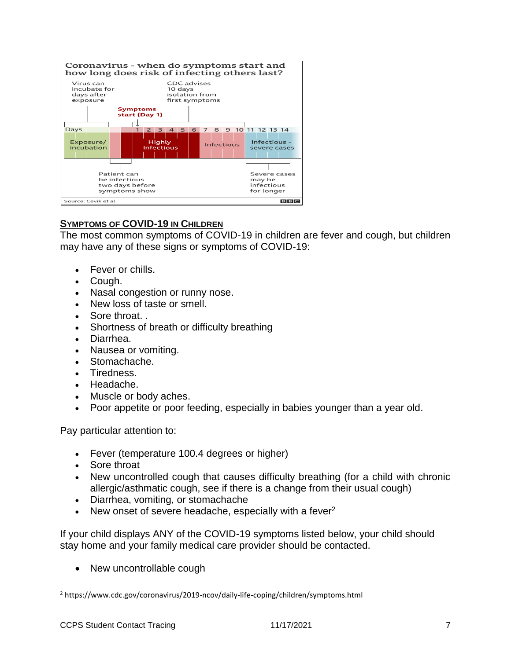

#### <span id="page-6-0"></span>**SYMPTOMS OF COVID-19 IN CHILDREN**

The most common symptoms of COVID-19 in children are fever and cough, but children may have any of these signs or symptoms of COVID-19:

- Fever or chills.
- Cough.
- Nasal congestion or runny nose.
- New loss of taste or smell.
- Sore throat. .
- Shortness of breath or difficulty breathing
- Diarrhea.
- Nausea or vomiting.
- Stomachache.
- **Contract Tiredness.**
- Headache.
- Muscle or body aches.
- Poor appetite or poor feeding, especially in babies younger than a year old.

Pay particular attention to:

- Fever (temperature 100.4 degrees or higher)
- Sore throat
- New uncontrolled cough that causes difficulty breathing (for a child with chronic allergic/asthmatic cough, see if there is a change from their usual cough)
- Diarrhea, vomiting, or stomachache
- New onset of severe headache, especially with a fever<sup>2</sup>

If your child displays ANY of the COVID-19 symptoms listed below, your child should stay home and your family medical care provider should be contacted.

• New uncontrollable cough

 $\overline{a}$ 

<sup>2</sup> https://www.cdc.gov/coronavirus/2019-ncov/daily-life-coping/children/symptoms.html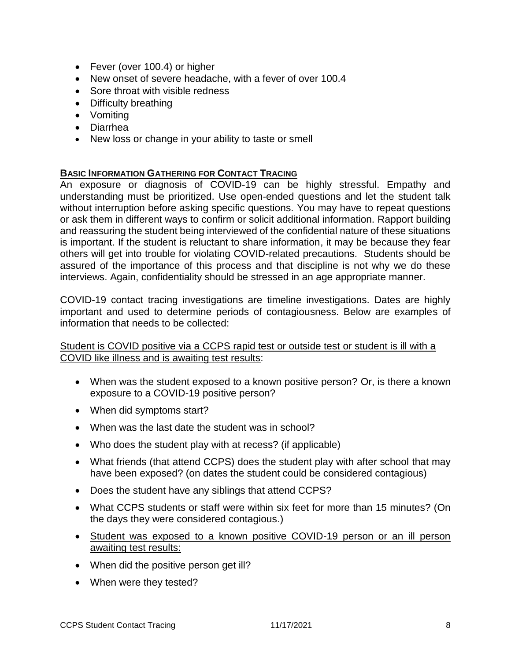- Fever (over 100.4) or higher
- New onset of severe headache, with a fever of over 100.4
- Sore throat with visible redness
- Difficulty breathing
- Vomiting
- Diarrhea
- New loss or change in your ability to taste or smell

#### <span id="page-7-0"></span>**BASIC INFORMATION GATHERING FOR CONTACT TRACING**

An exposure or diagnosis of COVID-19 can be highly stressful. Empathy and understanding must be prioritized. Use open-ended questions and let the student talk without interruption before asking specific questions. You may have to repeat questions or ask them in different ways to confirm or solicit additional information. Rapport building and reassuring the student being interviewed of the confidential nature of these situations is important. If the student is reluctant to share information, it may be because they fear others will get into trouble for violating COVID-related precautions. Students should be assured of the importance of this process and that discipline is not why we do these interviews. Again, confidentiality should be stressed in an age appropriate manner.

COVID-19 contact tracing investigations are timeline investigations. Dates are highly important and used to determine periods of contagiousness. Below are examples of information that needs to be collected:

#### Student is COVID positive via a CCPS rapid test or outside test or student is ill with a COVID like illness and is awaiting test results:

- When was the student exposed to a known positive person? Or, is there a known exposure to a COVID-19 positive person?
- When did symptoms start?
- When was the last date the student was in school?
- Who does the student play with at recess? (if applicable)
- What friends (that attend CCPS) does the student play with after school that may have been exposed? (on dates the student could be considered contagious)
- Does the student have any siblings that attend CCPS?
- What CCPS students or staff were within six feet for more than 15 minutes? (On the days they were considered contagious.)
- Student was exposed to a known positive COVID-19 person or an ill person awaiting test results:
- When did the positive person get ill?
- When were they tested?